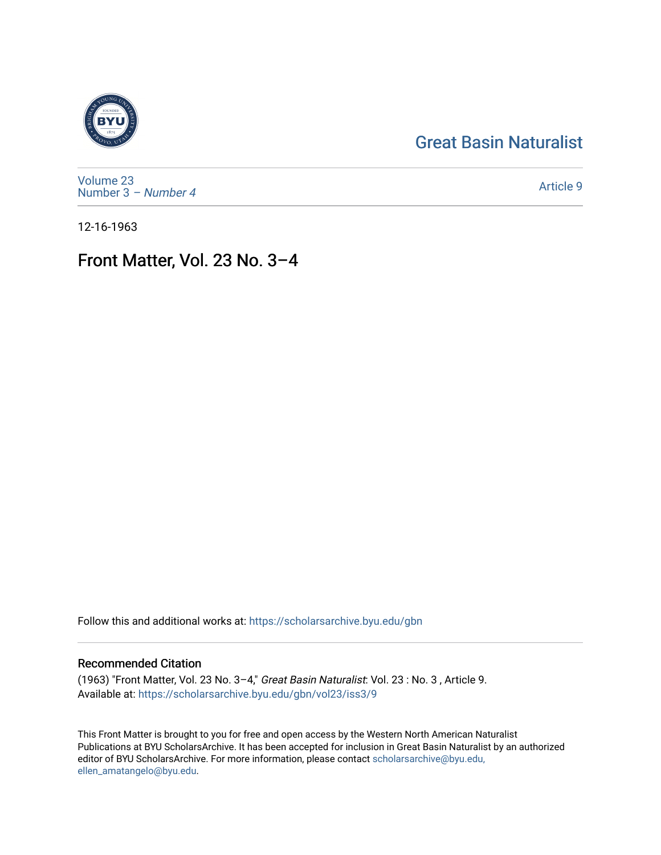## [Great Basin Naturalist](https://scholarsarchive.byu.edu/gbn)



[Volume 23](https://scholarsarchive.byu.edu/gbn/vol23) [Number 3](https://scholarsarchive.byu.edu/gbn/vol23/iss3) – Number 4

[Article 9](https://scholarsarchive.byu.edu/gbn/vol23/iss3/9) 

12-16-1963

# Front Matter, Vol. 23 No. 3–4

Follow this and additional works at: [https://scholarsarchive.byu.edu/gbn](https://scholarsarchive.byu.edu/gbn?utm_source=scholarsarchive.byu.edu%2Fgbn%2Fvol23%2Fiss3%2F9&utm_medium=PDF&utm_campaign=PDFCoverPages) 

### Recommended Citation

(1963) "Front Matter, Vol. 23 No. 3–4," Great Basin Naturalist: Vol. 23 : No. 3 , Article 9. Available at: [https://scholarsarchive.byu.edu/gbn/vol23/iss3/9](https://scholarsarchive.byu.edu/gbn/vol23/iss3/9?utm_source=scholarsarchive.byu.edu%2Fgbn%2Fvol23%2Fiss3%2F9&utm_medium=PDF&utm_campaign=PDFCoverPages)

This Front Matter is brought to you for free and open access by the Western North American Naturalist Publications at BYU ScholarsArchive. It has been accepted for inclusion in Great Basin Naturalist by an authorized editor of BYU ScholarsArchive. For more information, please contact [scholarsarchive@byu.edu,](mailto:scholarsarchive@byu.edu,%20ellen_amatangelo@byu.edu) [ellen\\_amatangelo@byu.edu](mailto:scholarsarchive@byu.edu,%20ellen_amatangelo@byu.edu).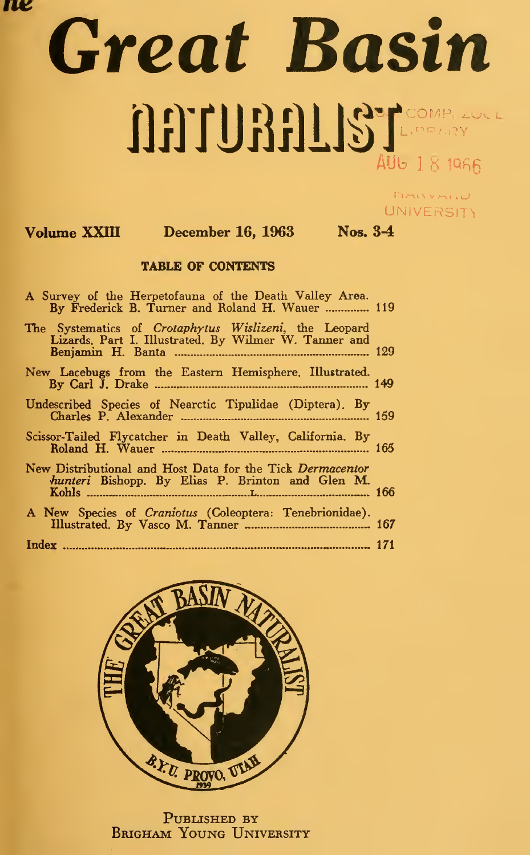rv

# Great Basin AUB 18 1966

MAINVANNU. **UNIVERSITY** 

### Volume XXIII December 16, 1963 Nos. 3-4

#### TABLE OF CONTENTS

| A Survey of the Herpetofauna of the Death Valley Area.<br>By Frederick B. Turner and Roland H. Wauer  119      |  |
|----------------------------------------------------------------------------------------------------------------|--|
| The Systematics of Crotaphytus Wislizeni, the Leopard<br>Lizards, Part I. Illustrated, By Wilmer W. Tanner and |  |
| New Lacebugs from the Eastern Hemisphere. Illustrated.                                                         |  |
| Undescribed Species of Nearctic Tipulidae (Diptera). By                                                        |  |
|                                                                                                                |  |
| New Distributional and Host Data for the Tick Dermacentor<br>hunteri Bishopp. By Elias P. Brinton and Glen M.  |  |
| A New Species of Craniotus (Coleoptera: Tenebrionidae).                                                        |  |
|                                                                                                                |  |



PUBLISHED BY Brigham Young University